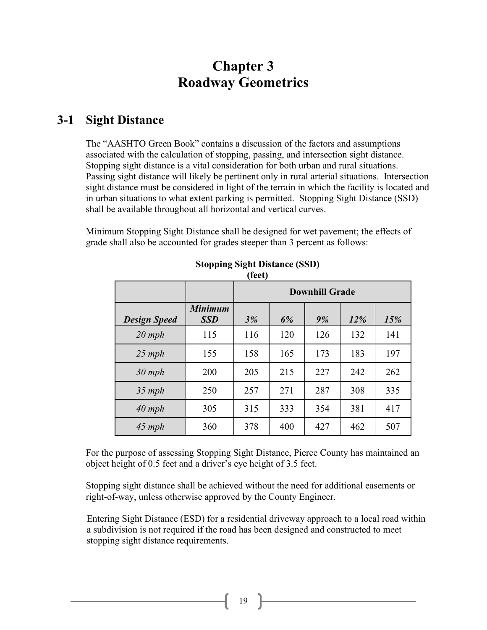# **Chapter 3 Roadway Geometrics**

#### **3-1 Sight Distance**

The "AASHTO Green Book" contains a discussion of the factors and assumptions associated with the calculation of stopping, passing, and intersection sight distance. Stopping sight distance is a vital consideration for both urban and rural situations. Passing sight distance will likely be pertinent only in rural arterial situations. Intersection sight distance must be considered in light of the terrain in which the facility is located and in urban situations to what extent parking is permitted. Stopping Sight Distance (SSD) shall be available throughout all horizontal and vertical curves.

Minimum Stopping Sight Distance shall be designed for wet pavement; the effects of grade shall also be accounted for grades steeper than 3 percent as follows:

|                     |                              | <b>Downhill Grade</b> |     |     |     |     |
|---------------------|------------------------------|-----------------------|-----|-----|-----|-----|
| <b>Design Speed</b> | <b>Minimum</b><br><b>SSD</b> | 3%                    | 6%  | 9%  | 12% | 15% |
| $20$ mph            | 115                          | 116                   | 120 | 126 | 132 | 141 |
| $25$ mph            | 155                          | 158                   | 165 | 173 | 183 | 197 |
| $30$ mph            | 200                          | 205                   | 215 | 227 | 242 | 262 |
| $35$ mph            | 250                          | 257                   | 271 | 287 | 308 | 335 |
| $40$ mph            | 305                          | 315                   | 333 | 354 | 381 | 417 |
| $45$ mph            | 360                          | 378                   | 400 | 427 | 462 | 507 |

#### **Stopping Sight Distance (SSD) (feet)**

For the purpose of assessing Stopping Sight Distance, Pierce County has maintained an object height of 0.5 feet and a driver's eye height of 3.5 feet.

Stopping sight distance shall be achieved without the need for additional easements or right-of-way, unless otherwise approved by the County Engineer.

Entering Sight Distance (ESD) for a residential driveway approach to a local road within a subdivision is not required if the road has been designed and constructed to meet stopping sight distance requirements.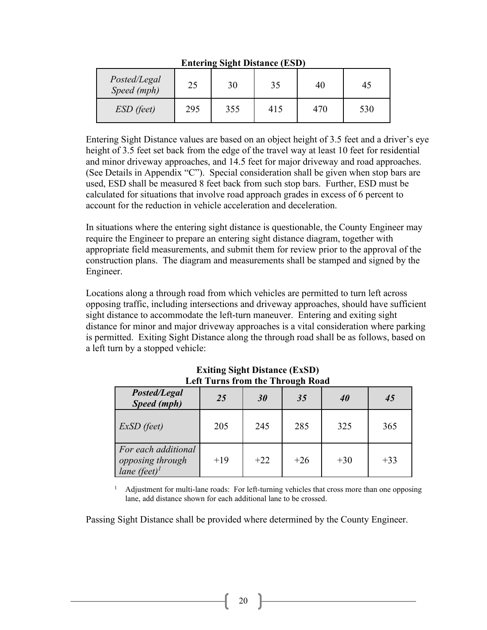|                             |     | $\overline{\phantom{a}}$<br>- |     |     |     |
|-----------------------------|-----|-------------------------------|-----|-----|-----|
| Posted/Legal<br>Speed (mph) | 25  | 30                            | 35  | 40  | 45  |
| ESD (feet)                  | 295 | 355                           | 415 | 470 | 530 |

**Entering Sight Distance (ESD)**

Entering Sight Distance values are based on an object height of 3.5 feet and a driver's eye height of 3.5 feet set back from the edge of the travel way at least 10 feet for residential and minor driveway approaches, and 14.5 feet for major driveway and road approaches. (See Details in Appendix "C"). Special consideration shall be given when stop bars are used, ESD shall be measured 8 feet back from such stop bars. Further, ESD must be calculated for situations that involve road approach grades in excess of 6 percent to account for the reduction in vehicle acceleration and deceleration.

In situations where the entering sight distance is questionable, the County Engineer may require the Engineer to prepare an entering sight distance diagram, together with appropriate field measurements, and submit them for review prior to the approval of the construction plans. The diagram and measurements shall be stamped and signed by the Engineer.

Locations along a through road from which vehicles are permitted to turn left across opposing traffic, including intersections and driveway approaches, should have sufficient sight distance to accommodate the left-turn maneuver. Entering and exiting sight distance for minor and major driveway approaches is a vital consideration where parking is permitted. Exiting Sight Distance along the through road shall be as follows, based on a left turn by a stopped vehicle:

| LER THEIR HUILDIE THIUULE NUAU                                      |       |       |       |       |       |
|---------------------------------------------------------------------|-------|-------|-------|-------|-------|
| Posted/Legal<br>Speed (mph)                                         | 25    | 30    | 35    | 40    | 45    |
| ExSD (feet)                                                         | 205   | 245   | 285   | 325   | 365   |
| For each additional<br>opposing through<br>lane (feet) <sup>1</sup> | $+19$ | $+22$ | $+26$ | $+30$ | $+33$ |

#### **Exiting Sight Distance (ExSD) Left Turns from the Through Road**

 $<sup>1</sup>$  Adjustment for multi-lane roads: For left-turning vehicles that cross more than one opposing</sup> lane, add distance shown for each additional lane to be crossed.

Passing Sight Distance shall be provided where determined by the County Engineer.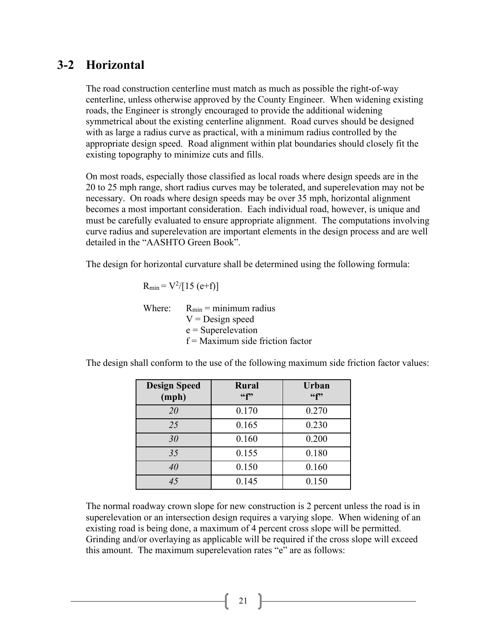### **3-2 Horizontal**

The road construction centerline must match as much as possible the right-of-way centerline, unless otherwise approved by the County Engineer. When widening existing roads, the Engineer is strongly encouraged to provide the additional widening symmetrical about the existing centerline alignment. Road curves should be designed with as large a radius curve as practical, with a minimum radius controlled by the appropriate design speed. Road alignment within plat boundaries should closely fit the existing topography to minimize cuts and fills.

On most roads, especially those classified as local roads where design speeds are in the 20 to 25 mph range, short radius curves may be tolerated, and superelevation may not be necessary. On roads where design speeds may be over 35 mph, horizontal alignment becomes a most important consideration. Each individual road, however, is unique and must be carefully evaluated to ensure appropriate alignment. The computations involving curve radius and superelevation are important elements in the design process and are well detailed in the "AASHTO Green Book".

The design for horizontal curvature shall be determined using the following formula:

$$
R_{min} = V^2/[15 (e+f)]
$$

Where:  $R_{min} =$  minimum radius  $V =$ Design speed  $e =$ Superelevation  $f =$ Maximum side friction factor

| <b>Design Speed</b><br>(mph) | Rural<br>66f | <b>Urban</b><br>66f |
|------------------------------|--------------|---------------------|
| 20                           | 0.170        | 0.270               |
| 25                           | 0.165        | 0.230               |
| 30                           | 0.160        | 0.200               |
| 35                           | 0.155        | 0.180               |
| 40                           | 0.150        | 0.160               |
| 45                           | 0.145        | 0.150               |

The design shall conform to the use of the following maximum side friction factor values:

The normal roadway crown slope for new construction is 2 percent unless the road is in superelevation or an intersection design requires a varying slope. When widening of an existing road is being done, a maximum of 4 percent cross slope will be permitted. Grinding and/or overlaying as applicable will be required if the cross slope will exceed this amount. The maximum superelevation rates "e" are as follows:

21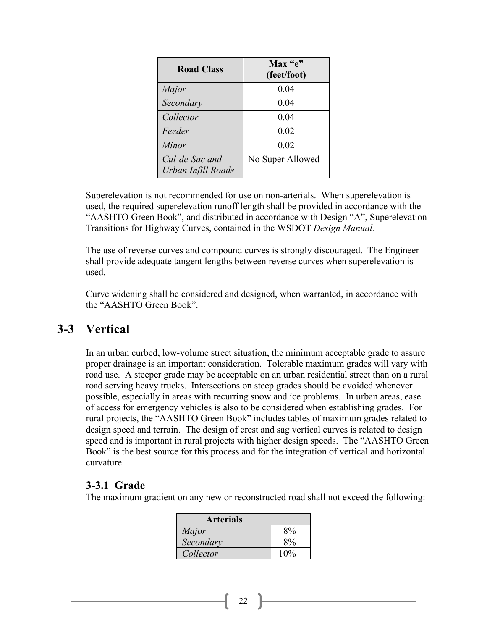| <b>Road Class</b>                    | $Max$ "e"<br>(feet/foot) |
|--------------------------------------|--------------------------|
| Major                                | 0.04                     |
| Secondary                            | 0.04                     |
| Collector                            | 0.04                     |
| Feeder                               | 0.02                     |
| Minor                                | 0.02                     |
| Cul-de-Sac and<br>Urban Infill Roads | No Super Allowed         |

Superelevation is not recommended for use on non-arterials. When superelevation is used, the required superelevation runoff length shall be provided in accordance with the "AASHTO Green Book", and distributed in accordance with Design "A", Superelevation Transitions for Highway Curves, contained in the WSDOT *Design Manual*.

The use of reverse curves and compound curves is strongly discouraged. The Engineer shall provide adequate tangent lengths between reverse curves when superelevation is used.

Curve widening shall be considered and designed, when warranted, in accordance with the "AASHTO Green Book".

### **3-3 Vertical**

In an urban curbed, low-volume street situation, the minimum acceptable grade to assure proper drainage is an important consideration. Tolerable maximum grades will vary with road use. A steeper grade may be acceptable on an urban residential street than on a rural road serving heavy trucks. Intersections on steep grades should be avoided whenever possible, especially in areas with recurring snow and ice problems. In urban areas, ease of access for emergency vehicles is also to be considered when establishing grades. For rural projects, the "AASHTO Green Book" includes tables of maximum grades related to design speed and terrain. The design of crest and sag vertical curves is related to design speed and is important in rural projects with higher design speeds. The "AASHTO Green Book" is the best source for this process and for the integration of vertical and horizontal curvature.

#### **3-3.1 Grade**

The maximum gradient on any new or reconstructed road shall not exceed the following:

| <b>Arterials</b> |     |
|------------------|-----|
| Major            | 8%  |
| Secondary        | 8%  |
| Collector        | 10% |